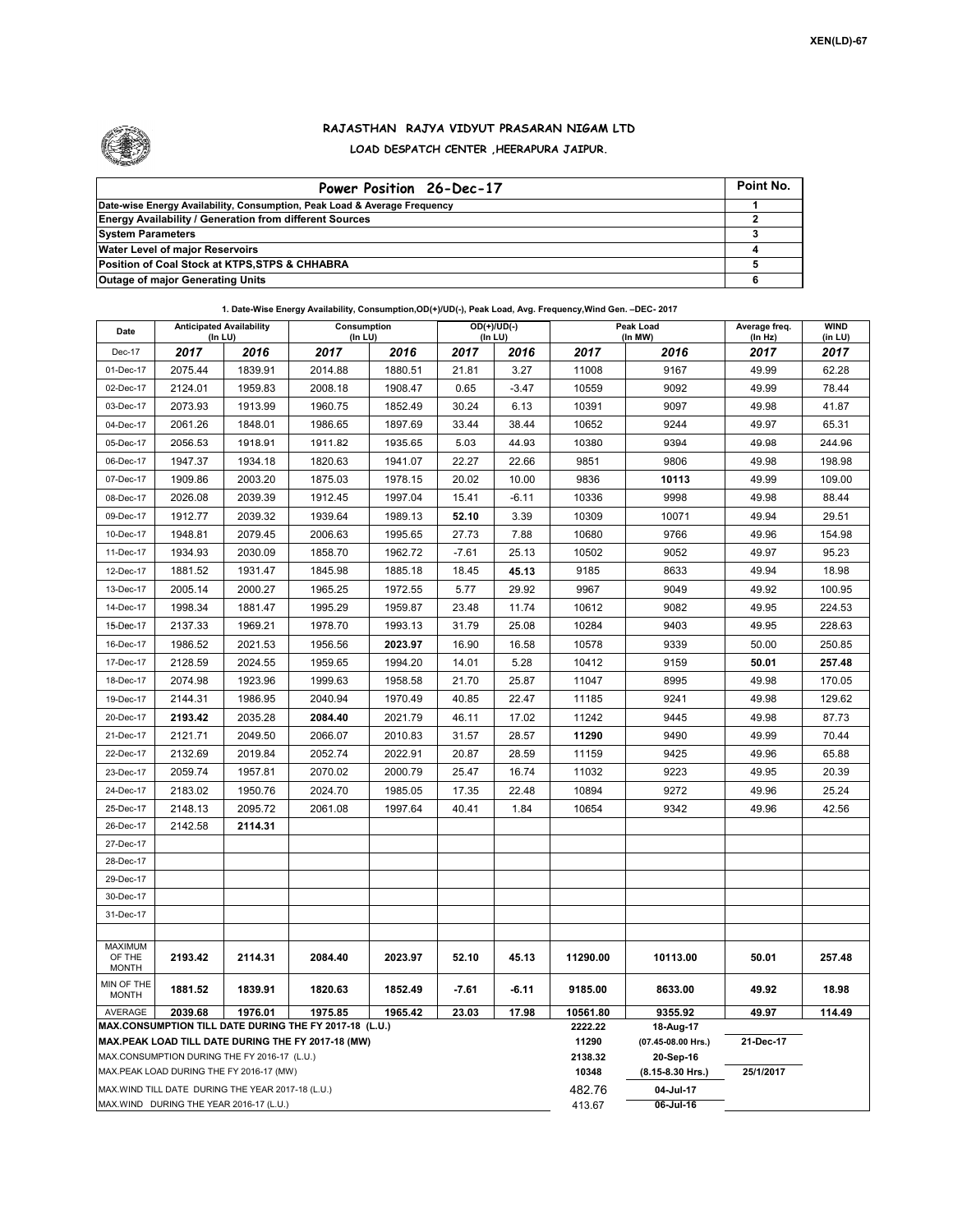

## **RAJASTHAN RAJYA VIDYUT PRASARAN NIGAM LTD LOAD DESPATCH CENTER ,HEERAPURA JAIPUR.**

| Power Position 26-Dec-17                                                  | Point No. |
|---------------------------------------------------------------------------|-----------|
| Date-wise Energy Availability, Consumption, Peak Load & Average Frequency |           |
| <b>Energy Availability / Generation from different Sources</b>            |           |
| <b>System Parameters</b>                                                  |           |
| <b>Water Level of major Reservoirs</b>                                    |           |
| Position of Coal Stock at KTPS, STPS & CHHABRA                            |           |
| <b>Outage of major Generating Units</b>                                   |           |

**1. Date-Wise Energy Availability, Consumption,OD(+)/UD(-), Peak Load, Avg. Frequency,Wind Gen. –DEC- 2017**

| Date                                               | <b>Anticipated Availability</b><br>(In LU)   |         | Consumption<br>(In LU)                                                                                       |         |         | $OD(+)/UD(-)$<br>(In LU) | Peak Load<br>(In MW) |                                 | Average freq.<br>(In Hz) | <b>WIND</b><br>(in LU) |
|----------------------------------------------------|----------------------------------------------|---------|--------------------------------------------------------------------------------------------------------------|---------|---------|--------------------------|----------------------|---------------------------------|--------------------------|------------------------|
| Dec-17                                             | 2017                                         | 2016    | 2017                                                                                                         | 2016    | 2017    | 2016                     | 2017                 | 2016                            | 2017                     | 2017                   |
| 01-Dec-17                                          | 2075.44                                      | 1839.91 | 2014.88                                                                                                      | 1880.51 | 21.81   | 3.27                     | 11008                | 9167                            | 49.99                    | 62.28                  |
| 02-Dec-17                                          | 2124.01                                      | 1959.83 | 2008.18                                                                                                      | 1908.47 | 0.65    | $-3.47$                  | 10559                | 9092                            | 49.99                    | 78.44                  |
| 03-Dec-17                                          | 2073.93                                      | 1913.99 | 1960.75                                                                                                      | 1852.49 | 30.24   | 6.13                     | 10391                | 9097                            | 49.98                    | 41.87                  |
| 04-Dec-17                                          | 2061.26                                      | 1848.01 | 1986.65                                                                                                      | 1897.69 | 33.44   | 38.44                    | 10652                | 9244                            | 49.97                    | 65.31                  |
| 05-Dec-17                                          | 2056.53                                      | 1918.91 | 1911.82                                                                                                      | 1935.65 | 5.03    | 44.93                    | 10380                | 9394                            | 49.98                    | 244.96                 |
| 06-Dec-17                                          | 1947.37                                      | 1934.18 | 1820.63                                                                                                      | 1941.07 | 22.27   | 22.66                    | 9851                 | 9806                            | 49.98                    | 198.98                 |
| 07-Dec-17                                          | 1909.86                                      | 2003.20 | 1875.03                                                                                                      | 1978.15 | 20.02   | 10.00                    | 9836                 | 10113                           | 49.99                    | 109.00                 |
| 08-Dec-17                                          | 2026.08                                      | 2039.39 | 1912.45                                                                                                      | 1997.04 | 15.41   | $-6.11$                  | 10336                | 9998                            | 49.98                    | 88.44                  |
| 09-Dec-17                                          | 1912.77                                      | 2039.32 | 1939.64                                                                                                      | 1989.13 | 52.10   | 3.39                     | 10309                | 10071                           | 49.94                    | 29.51                  |
| 10-Dec-17                                          | 1948.81                                      | 2079.45 | 2006.63                                                                                                      | 1995.65 | 27.73   | 7.88                     | 10680                | 9766                            | 49.96                    | 154.98                 |
| 11-Dec-17                                          | 1934.93                                      | 2030.09 | 1858.70                                                                                                      | 1962.72 | $-7.61$ | 25.13                    | 10502                | 9052                            | 49.97                    | 95.23                  |
| 12-Dec-17                                          | 1881.52                                      | 1931.47 | 1845.98                                                                                                      | 1885.18 | 18.45   | 45.13                    | 9185                 | 8633                            | 49.94                    | 18.98                  |
| 13-Dec-17                                          | 2005.14                                      | 2000.27 | 1965.25                                                                                                      | 1972.55 | 5.77    | 29.92                    | 9967                 | 9049                            | 49.92                    | 100.95                 |
| 14-Dec-17                                          | 1998.34                                      | 1881.47 | 1995.29                                                                                                      | 1959.87 | 23.48   | 11.74                    | 10612                | 9082                            | 49.95                    | 224.53                 |
| 15-Dec-17                                          | 2137.33                                      | 1969.21 | 1978.70                                                                                                      | 1993.13 | 31.79   | 25.08                    | 10284                | 9403                            | 49.95                    | 228.63                 |
| 16-Dec-17                                          | 1986.52                                      | 2021.53 | 1956.56                                                                                                      | 2023.97 | 16.90   | 16.58                    | 10578                | 9339                            | 50.00                    | 250.85                 |
| 17-Dec-17                                          | 2128.59                                      | 2024.55 | 1959.65                                                                                                      | 1994.20 | 14.01   | 5.28                     | 10412                | 9159                            | 50.01                    | 257.48                 |
| 18-Dec-17                                          | 2074.98                                      | 1923.96 | 1999.63                                                                                                      | 1958.58 | 21.70   | 25.87                    | 11047                | 8995                            | 49.98                    | 170.05                 |
| 19-Dec-17                                          | 2144.31                                      | 1986.95 | 2040.94                                                                                                      | 1970.49 | 40.85   | 22.47                    | 11185                | 9241                            | 49.98                    | 129.62                 |
| 20-Dec-17                                          | 2193.42                                      | 2035.28 | 2084.40                                                                                                      | 2021.79 | 46.11   | 17.02                    | 11242                | 9445                            | 49.98                    | 87.73                  |
| 21-Dec-17                                          | 2121.71                                      | 2049.50 | 2066.07                                                                                                      | 2010.83 | 31.57   | 28.57                    | 11290                | 9490                            | 49.99                    | 70.44                  |
| 22-Dec-17                                          | 2132.69                                      | 2019.84 | 2052.74                                                                                                      | 2022.91 | 20.87   | 28.59                    | 11159                | 9425                            | 49.96                    | 65.88                  |
| 23-Dec-17                                          | 2059.74                                      | 1957.81 | 2070.02                                                                                                      | 2000.79 | 25.47   | 16.74                    | 11032                | 9223                            | 49.95                    | 20.39                  |
| 24-Dec-17                                          | 2183.02                                      | 1950.76 | 2024.70                                                                                                      | 1985.05 | 17.35   | 22.48                    | 10894                | 9272                            | 49.96                    | 25.24                  |
| 25-Dec-17                                          | 2148.13                                      | 2095.72 | 2061.08                                                                                                      | 1997.64 | 40.41   | 1.84                     | 10654                | 9342                            | 49.96                    | 42.56                  |
| 26-Dec-17                                          | 2142.58                                      | 2114.31 |                                                                                                              |         |         |                          |                      |                                 |                          |                        |
| 27-Dec-17                                          |                                              |         |                                                                                                              |         |         |                          |                      |                                 |                          |                        |
| 28-Dec-17                                          |                                              |         |                                                                                                              |         |         |                          |                      |                                 |                          |                        |
| 29-Dec-17                                          |                                              |         |                                                                                                              |         |         |                          |                      |                                 |                          |                        |
| 30-Dec-17                                          |                                              |         |                                                                                                              |         |         |                          |                      |                                 |                          |                        |
| 31-Dec-17                                          |                                              |         |                                                                                                              |         |         |                          |                      |                                 |                          |                        |
|                                                    |                                              |         |                                                                                                              |         |         |                          |                      |                                 |                          |                        |
| <b>MAXIMUM</b><br>OF THE<br><b>MONTH</b>           | 2193.42                                      | 2114.31 | 2084.40                                                                                                      | 2023.97 | 52.10   | 45.13                    | 11290.00             | 10113.00                        | 50.01                    | 257.48                 |
| MIN OF THE<br><b>MONTH</b>                         | 1881.52                                      | 1839.91 | 1820.63                                                                                                      | 1852.49 | $-7.61$ | $-6.11$                  | 9185.00              | 8633.00                         | 49.92                    | 18.98                  |
| <b>AVERAGE</b>                                     | 2039.68                                      | 1976.01 | 1975.85                                                                                                      | 1965.42 | 23.03   | 17.98                    | 10561.80             | 9355.92                         | 49.97                    | 114.49                 |
|                                                    |                                              |         | MAX.CONSUMPTION TILL DATE DURING THE FY 2017-18 (L.U.)<br>MAX.PEAK LOAD TILL DATE DURING THE FY 2017-18 (MW) |         |         |                          | 2222.22<br>11290     | 18-Aug-17<br>(07.45-08.00 Hrs.) | 21-Dec-17                |                        |
|                                                    | MAX.CONSUMPTION DURING THE FY 2016-17 (L.U.) |         |                                                                                                              |         |         |                          | 2138.32              | 20-Sep-16                       |                          |                        |
|                                                    | MAX.PEAK LOAD DURING THE FY 2016-17 (MW)     |         |                                                                                                              |         |         |                          | 10348                | $(8.15 - 8.30$ Hrs.)            | 25/1/2017                |                        |
| MAX. WIND TILL DATE DURING THE YEAR 2017-18 (L.U.) |                                              |         |                                                                                                              |         |         |                          |                      | 04-Jul-17                       |                          |                        |
|                                                    | MAX.WIND DURING THE YEAR 2016-17 (L.U.)      |         |                                                                                                              |         |         |                          | 413.67               | 06-Jul-16                       |                          |                        |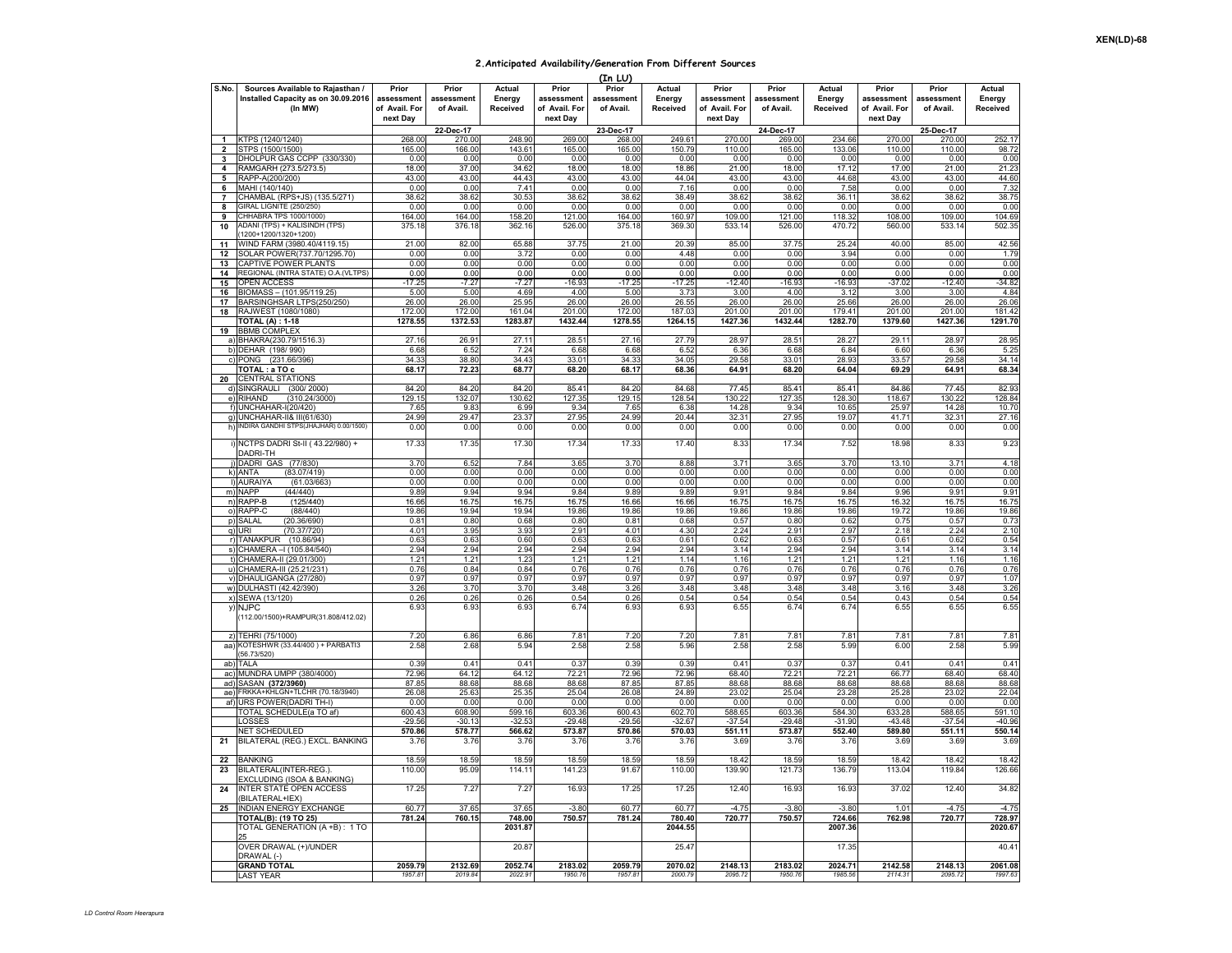## **2.Anticipated Availability/Generation From Different Sources**

|                         |                                                                                    |                                                  |                                  |                              |                                                  | (In LU)                          |                              |                                                  |                                  |                                     |                                                  |                                  |                              |
|-------------------------|------------------------------------------------------------------------------------|--------------------------------------------------|----------------------------------|------------------------------|--------------------------------------------------|----------------------------------|------------------------------|--------------------------------------------------|----------------------------------|-------------------------------------|--------------------------------------------------|----------------------------------|------------------------------|
| S.No.                   | Sources Available to Rajasthan /<br>Installed Capacity as on 30.09.2016<br>(In MW) | Prior<br>assessment<br>of Avail. For<br>next Day | Prior<br>assessment<br>of Avail. | Actual<br>Energy<br>Received | Prior<br>assessment<br>of Avail. For<br>next Day | Prior<br>assessment<br>of Avail. | Actual<br>Energy<br>Received | Prior<br>assessment<br>of Avail. For<br>next Day | Prior<br>assessment<br>of Avail. | <b>Actual</b><br>Energy<br>Received | Prior<br>assessment<br>of Avail. For<br>next Day | Prior<br>assessment<br>of Avail. | Actual<br>Energy<br>Received |
|                         |                                                                                    |                                                  | 22-Dec-17                        |                              |                                                  | 23-Dec-17                        |                              |                                                  | 24-Dec-17                        |                                     |                                                  | 25-Dec-17                        |                              |
| $\mathbf{1}$            | TPS (1240/1240)                                                                    | 268.00                                           | 270.00                           | 248.90                       | 269.00                                           | 268.00                           | 249.61                       | 270.00                                           | 269.00                           | 234.66                              | 270.00                                           | 270.00                           | 252.17                       |
| $\overline{\mathbf{2}}$ | STPS (1500/1500)                                                                   | 165.00                                           | 166.00                           | 143.61                       | 165.00                                           | 165.00                           | 150.79                       | 110.00                                           | 165.00                           | 133.06                              | 110.00                                           | 110.00                           | 98.72                        |
| 3                       | DHOLPUR GAS CCPP (330/330)                                                         | 0.00                                             | 0.00                             | 0.00                         | 0.00                                             | 0.00                             | 0.00                         | 0.00                                             | 0.00                             | 0.00                                | 0.00                                             | 0.00                             | 0.00                         |
| 4                       | RAMGARH (273.5/273.5)                                                              | 18.00                                            | 37.00                            | 34.62                        | 18.00                                            | 18.00                            | 18.86                        | 21.00                                            | 18.00                            | 17.12                               | 17.00                                            | 21.00                            | 21.23                        |
| 5                       | RAPP-A(200/200)                                                                    | 43.00                                            | 43.00                            | 44.43                        | 43.00                                            | 43.00                            | 44.04                        | 43.00                                            | 43.00                            | 44.68                               | 43.00                                            | 43.00                            | 44.60                        |
| 6                       | MAHI (140/140)<br>CHAMBAL (RPS+JS) (135.5/271)                                     | 0.00<br>38.62                                    | 0.00<br>38.62                    | 7.41<br>30.53                | 0.00<br>38.62                                    | 0.00<br>38.62                    | 7.16<br>38.49                | 0.00                                             | 0.00<br>38.62                    | 7.58<br>36.11                       | 0.00<br>38.62                                    | 0.00<br>38.62                    | 7.32<br>38.75                |
| $\overline{7}$<br>8     | SIRAL LIGNITE (250/250)                                                            | 0.00                                             | 0.00                             | 0.00                         | 0.00                                             | 0.00                             | 0.00                         | 38.62<br>0.00                                    | 0.00                             | 0.00                                | 0.00                                             | 0.00                             | 0.00                         |
| 9                       | CHHABRA TPS 1000/1000)                                                             | 164.00                                           | 164.00                           | 158.20                       | 121.00                                           | 164.00                           | 160.97                       | 109.00                                           | 121.00                           | 118.32                              | 108.00                                           | 109.00                           | 104.69                       |
| 10                      | ADANI (TPS) + KALISINDH (TPS)                                                      | 375.18                                           | 376.18                           | 362.16                       | 526.00                                           | 375.18                           | 369.30                       | 533.14                                           | 526.00                           | 470.72                              | 560.00                                           | 533.14                           | 502.35                       |
|                         | 1200+1200/1320+1200)                                                               |                                                  |                                  |                              |                                                  |                                  |                              |                                                  |                                  |                                     |                                                  |                                  |                              |
| 11                      | VIND FARM (3980.40/4119.15)                                                        | 21.00                                            | 82.00                            | 65.88                        | 37.75                                            | 21.00                            | 20.39                        | 85.00                                            | 37.75                            | 25.24                               | 40.00                                            | 85.00                            | 42.56                        |
| 12                      | SOLAR POWER(737.70/1295.70)                                                        | 0.00                                             | 0.00                             | 3.72                         | 0.00                                             | 0.00                             | 4.48                         | 0.00                                             | 0.00                             | 3.94                                | 0.00                                             | 0.00                             | 1.79                         |
| 13                      | CAPTIVE POWER PLANTS                                                               | 0.00                                             | 0.00                             | 0.00                         | 0.00                                             | 0.00                             | 0.00                         | 0.00                                             | 0.00                             | 0.00                                | 0.00                                             | 0.00                             | 0.00                         |
| 14                      | REGIONAL (INTRA STATE) O.A.(VLTPS)                                                 | 0.00                                             | 0.00                             | 0.00                         | 0.00                                             | 0.00                             | 0.00                         | 0.00                                             | 0.00                             | 0.00                                | 0.00                                             | 0.00                             | 0.00                         |
| 15                      | <b>OPEN ACCESS</b>                                                                 | $-1725$                                          | $-7.27$                          | $-7.27$                      | $-16.93$                                         | $-17.25$                         | $-17.25$                     | $-12.40$                                         | $-16.93$                         | $-16.93$                            | $-37.02$                                         | $-12.40$                         | $-34.82$                     |
| 16                      | 31OMASS - (101.95/119.25)                                                          | 5.00                                             | 5.00                             | 4.69                         | 4.00                                             | 5.00                             | 3.73                         | 3.00                                             | 4.00                             | 3.12                                | 3.00                                             | 3.00                             | 4.84                         |
| 17<br>18                | BARSINGHSAR LTPS(250/250)<br>RAJWEST (1080/1080)                                   | 26.00<br>172.00                                  | 26.00<br>172.00                  | 25.95<br>161.04              | 26.00<br>201.00                                  | 26.00<br>172.00                  | 26.55<br>187.03              | 26.00<br>201.00                                  | 26.00<br>201.00                  | 25.66<br>179.41                     | 26.00<br>201.00                                  | 26.00<br>201.00                  | 26.06<br>181.42              |
|                         | <b>TOTAL (A) : 1-18</b>                                                            | 1278.55                                          | 1372.53                          | 1283.87                      | 1432.44                                          | 1278.55                          | 1264.15                      | 1427.36                                          | 1432.44                          | 1282.70                             | 1379.60                                          | 1427.36                          | 1291.70                      |
| 19                      | <b>BBMB COMPLEX</b>                                                                |                                                  |                                  |                              |                                                  |                                  |                              |                                                  |                                  |                                     |                                                  |                                  |                              |
|                         | BHAKRA(230.79/1516.3)                                                              | 27.16                                            | 26.91                            | 27.11                        | 28.51                                            | 27.16                            | 27.79                        | 28.97                                            | $28.5^{\circ}$                   | 28.27                               | 29.11                                            | 28.97                            | 28.95                        |
|                         | b) DEHAR (198/990)                                                                 | 6.68                                             | 6.52                             | 7.24                         | 6.68                                             | 6.68                             | 6.52                         | 6.36                                             | 6.68                             | 6.84                                | 6.60                                             | 6.36                             | 5.25                         |
| $\mathbf{c}$            | PONG (231.66/396)                                                                  | 34.33                                            | 38.80                            | 34.43                        | 33.01                                            | 34.3                             | 34.05                        | 29.58                                            | $33.0^{\circ}$                   | 28.93                               | 33.57                                            | 29.58                            | 34.14                        |
|                         | TOTAL : a TO c                                                                     | 68.17                                            | 72.23                            | 68.77                        | 68.20                                            | 68.17                            | 68.36                        | 64.91                                            | 68.20                            | 64.04                               | 69.29                                            | 64.91                            | 68.34                        |
| 20                      | <b>CENTRAL STATIONS</b>                                                            |                                                  |                                  |                              |                                                  |                                  |                              |                                                  |                                  |                                     |                                                  |                                  |                              |
|                         | SINGRAULI (300/2000)                                                               | 84.20                                            | 84.20                            | 84.20                        | 85.41                                            | 84.20                            | 84.68                        | 77.45                                            | 85.41                            | 85.41                               | 84.86                                            | 77.45                            | 82.93                        |
| e)                      | RIHAND<br>(310.24/3000)                                                            | 129.15                                           | 132.07                           | 130.62                       | 127.35                                           | 129.15                           | 128.54                       | 130.22                                           | 127.35                           | 128.30                              | 118.67                                           | 130.22                           | 128.84                       |
|                         | JNCHAHAR-I(20/420)                                                                 | 7.65                                             | 9.83                             | 6.99                         | 9.34                                             | 7.65                             | 6.38                         | 14.28                                            | 9.34                             | 10.65                               | 25.9                                             | 14.28                            | 10.70                        |
| g)                      | UNCHAHAR-II& III(61/630)<br>NDIRA GANDHI STPS(JHAJHAR) 0.00/1500)                  | 24.99                                            | 29.47                            | 23.37                        | 27.95                                            | 24.99                            | 20.44                        | 32.31                                            | 27.95                            | 19.07                               | 41.71                                            | 32.31                            | 27.16                        |
|                         |                                                                                    | 0.00                                             | 0.00                             | 0.00                         | 0.00                                             | 0.00                             | 0.00                         | 0.00                                             | 0.00                             | 0.00                                | 0.00                                             | 0.00                             | 0.00                         |
|                         | i) NCTPS DADRI St-II (43.22/980) +<br>DADRI-TH                                     | 17.33                                            | 17.35                            | 17.30                        | 17.34                                            | 17.33                            | 17.40                        | 8.33                                             | 17.34                            | 7.52                                | 18.98                                            | 8.33                             | 9.23                         |
|                         | j) DADRI GAS (77/830)                                                              | 3.70                                             | 6.52                             | 7.84                         | 3.65                                             | 3.70                             | 8.88                         | 3.71                                             | 3.65                             | 3.70                                | 13.10                                            | 3.71                             | 4.18                         |
| $\mathsf{k}$            | (83.07/419)<br><b>ANTA</b>                                                         | 0.00                                             | 0.00                             | 0.00                         | 0.00                                             | 0.00                             | 0.00                         | 0.00                                             | 0.00                             | 0.00                                | 0.00                                             | 0.00                             | 0.00                         |
|                         | (61.03/663)<br><b>AURAIYA</b>                                                      | 0.00                                             | 0.00                             | 0.00                         | 0.00                                             | 0.00                             | 0.00                         | 0.00                                             | 0.00                             | 0.00                                | 0.00                                             | 0.00                             | 0.00                         |
|                         | m) NAPP<br>(44/440)                                                                | 9.89                                             | 9.94                             | 9.94                         | 9.84                                             | 9.89                             | 9.89                         | 9.91                                             | 9.84                             | 9.84                                | 9.96                                             | 9.91                             | 9.91                         |
|                         | n) RAPP-B<br>(125/440)                                                             | 16.66                                            | 16.75                            | 16.75                        | 16.75                                            | 16.66                            | 16.66                        | 16.75                                            | 16.75                            | 16.75                               | 16.32                                            | 16.75                            | 16.75                        |
|                         | o) RAPP-C<br>(88/440)                                                              | 19.86                                            | 19.94                            | 19.94                        | 19.86                                            | 19.86                            | 19.86                        | 19.86                                            | 19.86                            | 19.86                               | 19.72                                            | 19.86                            | 19.86                        |
| D)<br>q)                | (20.36/690)<br>SALAI<br>(70.37/720)<br>URI                                         | 0.81<br>4.01                                     | 0.80<br>3.95                     | 0.68<br>3.93                 | 0.80<br>2.91                                     | 0.81<br>4.01                     | 0.68<br>4.30                 | 0.57<br>2.24                                     | 0.80<br>$2.9^{\circ}$            | 0.62<br>2.97                        | 0.75<br>2.18                                     | 0.57<br>2.24                     | 0.73<br>2.10                 |
|                         | r) TANAKPUR (10.86/94)                                                             | 0.63                                             | 0.63                             | 0.60                         | 0.63                                             | 0.63                             | 0.61                         | 0.62                                             | 0.63                             | 0.57                                | 0.61                                             | 0.62                             | 0.54                         |
|                         | s) CHAMERA - (105.84/540)                                                          | 2.94                                             | 2.94                             | 2.94                         | 2.94                                             | 2.94                             | 2.94                         | 3.14                                             | 2.94                             | 2.94                                | 3.14                                             | 3.14                             | 3.14                         |
| $\uparrow$              | CHAMERA-II (29.01/300)                                                             | 1.21                                             | 1.21                             | 1.23                         | 1.21                                             | 1.21                             | 1.14                         | 1.16                                             | 1.21                             | 1.21                                | 1.21                                             | 1.16                             | 1.16                         |
|                         | u) CHAMERA-III (25.21/231)                                                         | 0.76                                             | 0.84                             | 0.84                         | 0.76                                             | 0.76                             | 0.76                         | 0.76                                             | 0.76                             | 0.76                                | 0.76                                             | 0.76                             | 0.76                         |
| V)                      | DHAULIGANGA (27/280)                                                               | 0.97                                             | 0.97                             | 0.97                         | 0.97                                             | 0.97                             | 0.97                         | 0.97                                             | 0.97                             | 0.97                                | 0.97                                             | 0.97                             | 1.07                         |
|                         | w) DULHASTI (42.42/390)                                                            | 3.26                                             | 3.70                             | 3.70                         | 3.48                                             | 3.26                             | 3.48                         | 3.48                                             | 3.48                             | 3.48                                | 3.16                                             | 3.48                             | 3.26                         |
|                         | x) SEWA (13/120)                                                                   | 0.26                                             | 0.26                             | 0.26                         | 0.54                                             | 0.26                             | 0.54                         | 0.54                                             | 0.54                             | 0.54                                | 0.43                                             | 0.54                             | 0.54                         |
|                         | y) NJPC<br>(112.00/1500)+RAMPUR(31.808/412.02)                                     | 6.93                                             | 6.93                             | 6.93                         | 6.74                                             | 6.93                             | 6.93                         | 6.55                                             | 6.74                             | 6.74                                | 6.55                                             | 6.55                             | 6.55                         |
| $\mathbf{z}$            | <b>TEHRI (75/1000)</b>                                                             | 7.20                                             | 6.86                             | 6.86                         | $7.8^{\circ}$                                    | 7.20                             | 7.21                         | $7.8^{\circ}$                                    | 7.8                              | $7.8^{\circ}$                       | 7.8                                              | $7.8^{\circ}$                    | 7.81                         |
| aa)                     | KOTESHWR (33.44/400) + PARBATI3                                                    | 2.58                                             | 2.68                             | 5.94                         | 2.58                                             | 2.58                             | 5.96                         | 2.58                                             | 2.58                             | 5.99                                | 6.00                                             | 2.58                             | 5.99                         |
|                         | 56.73/520)                                                                         |                                                  |                                  |                              |                                                  |                                  |                              |                                                  |                                  |                                     |                                                  |                                  |                              |
| ab)                     | TAL A                                                                              | 0.39                                             | 0.41                             | 0.41                         | 0.37                                             | 0.39                             | 0.39                         | 0.41                                             | 0.37                             | 0.37                                | 0.41                                             | 0.41                             | 0.41                         |
| ac)                     | MUNDRA UMPP (380/4000)                                                             | 72.96                                            | 64.13                            | 64.12                        | 72.21                                            | 72.96                            | 72.96                        | 68.40                                            | $72.2^{\circ}$                   | 72.21                               | 66.77                                            | 68.40                            | 68.40                        |
| ad                      | SASAN (372/3960)                                                                   | 87.85                                            | 88.68                            | 88.68                        | 88.68                                            | 87.85                            | 87.85                        | 88.68                                            | 88.68                            | 88.68                               | 88.68                                            | 88.68                            | 88.68                        |
| ae)<br>af)              | RKKA+KHLGN+TLCHR (70.18/3940)                                                      | 26.08<br>0.00                                    | 25.63<br>0.00                    | 25.35<br>0.00                | 25.04<br>0.00                                    | 26.08<br>0.0(                    | 24.89<br>0.00                | 23.02<br>0.00                                    | 25.04<br>0.00                    | 23.28<br>0.00                       | 25.28<br>0.00                                    | 23.02<br>0.00                    | 22.04                        |
|                         | JRS POWER(DADRI TH-I)<br>TOTAL SCHEDULE(a TO af)                                   | 600.43                                           | 608.90                           | 599.16                       | 603.36                                           | 600.43                           | 602.70                       | 588.65                                           | 603.36                           | 584.30                              | 633.28                                           | 588.65                           | 0.00<br>591.10               |
|                         | <b>OSSES</b>                                                                       | $-29.56$                                         | $-30.13$                         | $-32.53$                     | $-29.48$                                         | $-29.56$                         | $-32.67$                     | $-37.54$                                         | $-29.48$                         | $-31.90$                            | $-43.48$                                         | 37.54                            | $-40.96$                     |
|                         | <b>NET SCHEDULED</b>                                                               | 570.86                                           | 578.77                           | 566.62                       | 573.87                                           | 570.86                           | 570.03                       | 551.11                                           | 573.87                           | 552.40                              | 589.80                                           | 551.11                           | 550.14                       |
| 21                      | BILATERAL (REG.) EXCL. BANKING                                                     | 3.76                                             | 3.76                             | 3.76                         | 3.76                                             | 3.76                             | 3.76                         | 3.69                                             | 3.76                             | 3.76                                | 3.69                                             | 3.69                             | 3.69                         |
| 22                      | <b>BANKING</b>                                                                     | 18.59                                            | 18.59                            | 18.59                        | 18.59                                            | 18.59                            | 18.59                        | 18.42                                            | 18.59                            | 18.59                               | 18.42                                            | 18.43                            | 18.42                        |
| 23                      | BILATERAL(INTER-REG.)<br>EXCLUDING (ISOA & BANKING)                                | 110.00                                           | 95.09                            | 114.11                       | 141.23                                           | 91.6                             | 110.00                       | 139.90                                           | 121.73                           | 136.79                              | 113.04                                           | 119.84                           | 126.66                       |
| 24                      | NTER STATE OPEN ACCESS<br>BILATERAL+IEX)                                           | 17.25                                            | 7.27                             | 7.27                         | 16.93                                            | 17.25                            | 17.25                        | 12.40                                            | 16.93                            | 16.93                               | 37.02                                            | 12.40                            | 34.82                        |
| 25                      | <b>INDIAN ENERGY EXCHANGE</b>                                                      | 60.77                                            | 37.65                            | 37.65                        | $-3.80$                                          | 60.77                            | 60.77                        | $-4.75$                                          | $-3.80$                          | $-3.80$                             | 1.01                                             | $-4.75$                          | $-4.75$                      |
|                         | TOTAL(B): (19 TO 25)                                                               | 781.24                                           | 760.15                           | 748.00                       | 750.57                                           | 781.24                           | 780.40                       | 720.77                                           | 750.57                           | 724.66                              | 762.98                                           | 720.77                           | 728.97                       |
|                         | TOTAL GENERATION (A +B) : 1 TO<br>OVER DRAWAL (+)/UNDER                            |                                                  |                                  | 2031.87<br>20.87             |                                                  |                                  | 2044.55<br>25.4              |                                                  |                                  | 2007.36<br>17.35                    |                                                  |                                  | 2020.67<br>40.41             |
|                         | DRAWAL (-)                                                                         |                                                  |                                  |                              |                                                  |                                  |                              |                                                  |                                  |                                     |                                                  |                                  |                              |
|                         | <b>GRAND TOTAL</b><br><b>LAST YEAR</b>                                             | 2059.79<br>1957.81                               | 2132.69<br>2019.84               | 2052.74<br>2022.91           | 2183.02<br>1950.76                               | 2059.79<br>1957.81               | 2070.02<br>2000.79           | 2148.13<br>2095.72                               | 2183.02<br>1950.76               | 2024.71<br>1985.56                  | 2142.58<br>2114.31                               | 2148.13<br>2095.72               | 2061.08<br>1997.63           |